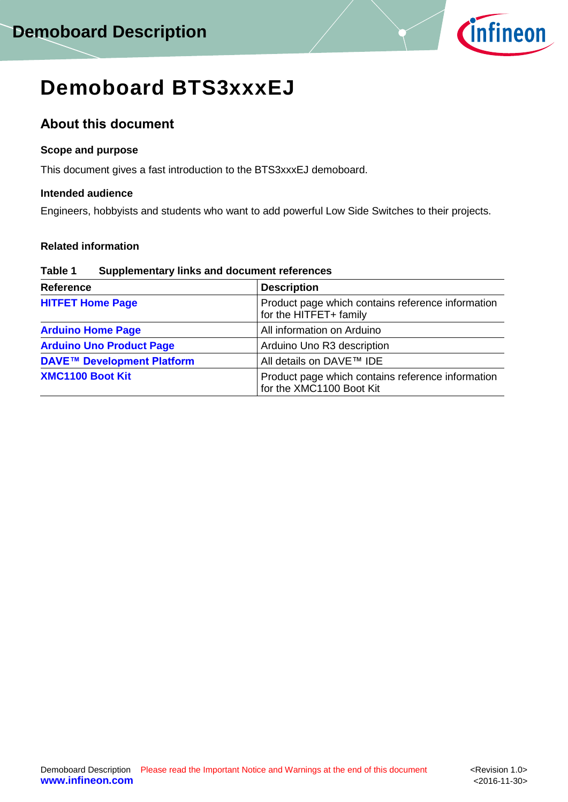

# **Demoboard BTS3xxxEJ**

## **About this document**

### **Scope and purpose**

This document gives a fast introduction to the BTS3xxxEJ demoboard.

### **Intended audience**

Engineers, hobbyists and students who want to add powerful Low Side Switches to their projects.

## **Related information**

#### **Table 1 Supplementary links and document references**

| <b>Reference</b>                  | <b>Description</b>                                                            |
|-----------------------------------|-------------------------------------------------------------------------------|
| <b>HITFET Home Page</b>           | Product page which contains reference information<br>for the HITFET+ family   |
| <b>Arduino Home Page</b>          | All information on Arduino                                                    |
| <b>Arduino Uno Product Page</b>   | Arduino Uno R3 description                                                    |
| <b>DAVE™ Development Platform</b> | All details on DAVE™ IDE                                                      |
| <b>XMC1100 Boot Kit</b>           | Product page which contains reference information<br>for the XMC1100 Boot Kit |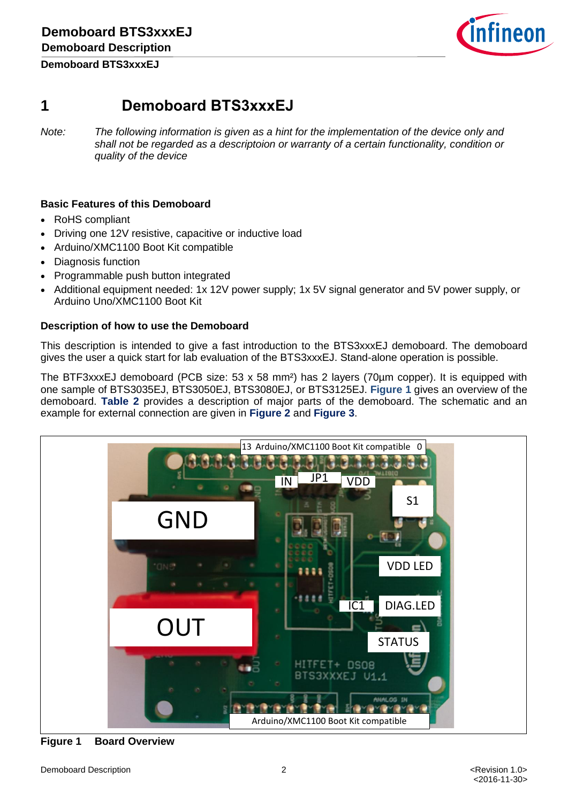

# **1 Demoboard BTS3xxxEJ**

*Note: The following information is given as a hint for the implementation of the device only and shall not be regarded as a descriptoion or warranty of a certain functionality, condition or quality of the device*

### **Basic Features of this Demoboard**

- RoHS compliant
- Driving one 12V resistive, capacitive or inductive load
- Arduino/XMC1100 Boot Kit compatible
- Diagnosis function
- Programmable push button integrated
- Additional equipment needed: 1x 12V power supply; 1x 5V signal generator and 5V power supply, or Arduino Uno/XMC1100 Boot Kit

#### **Description of how to use the Demoboard**

This description is intended to give a fast introduction to the BTS3xxxEJ demoboard. The demoboard gives the user a quick start for lab evaluation of the BTS3xxxEJ. Stand-alone operation is possible.

The BTF3xxxEJ demoboard (PCB size: 53 x 58 mm²) has 2 layers (70µm copper). It is equipped with one sample of BTS3035EJ, BTS3050EJ, BTS3080EJ, or BTS3125EJ. **[Figure 1](#page-1-0)** gives an overview of the demoboard. **[Table 2](#page-2-0)** provides a description of major parts of the demoboard. The schematic and an example for external connection are given in **[Figure 2](#page-3-0)** and **[Figure 3](#page-3-1)**.



<span id="page-1-0"></span>**Figure 1 Board Overview**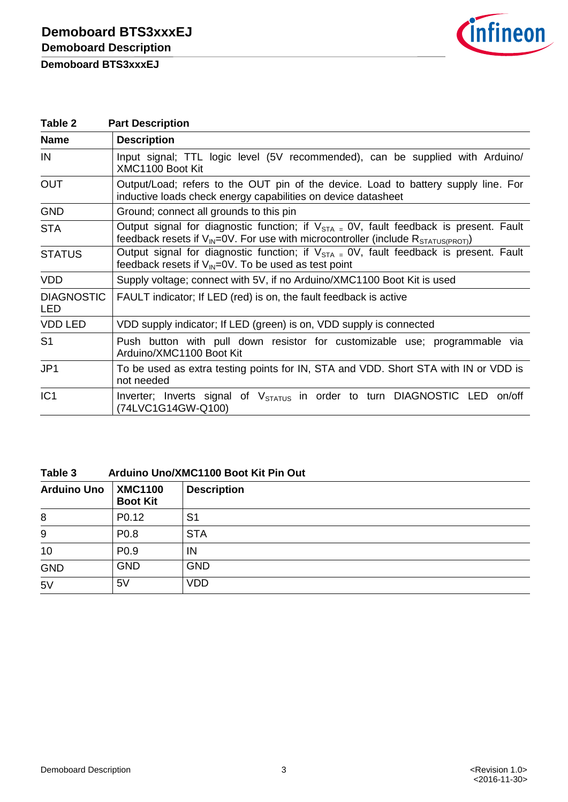

<span id="page-2-0"></span>

| Table 2                  | <b>Part Description</b>                                                                                                                                                                           |  |  |
|--------------------------|---------------------------------------------------------------------------------------------------------------------------------------------------------------------------------------------------|--|--|
| <b>Name</b>              | <b>Description</b>                                                                                                                                                                                |  |  |
| IN                       | Input signal; TTL logic level (5V recommended), can be supplied with Arduino/<br>XMC1100 Boot Kit                                                                                                 |  |  |
| <b>OUT</b>               | Output/Load; refers to the OUT pin of the device. Load to battery supply line. For<br>inductive loads check energy capabilities on device datasheet                                               |  |  |
| <b>GND</b>               | Ground; connect all grounds to this pin                                                                                                                                                           |  |  |
| <b>STA</b>               | Output signal for diagnostic function; if $V_{STA} = 0V$ , fault feedback is present. Fault<br>feedback resets if $V_{\text{IN}}=0V$ . For use with microcontroller (include $R_{STATUS(PROT)}$ ) |  |  |
| <b>STATUS</b>            | Output signal for diagnostic function; if $V_{STA} = 0V$ , fault feedback is present. Fault<br>feedback resets if $V_{\text{IN}}=0V$ . To be used as test point                                   |  |  |
| <b>VDD</b>               | Supply voltage; connect with 5V, if no Arduino/XMC1100 Boot Kit is used                                                                                                                           |  |  |
| <b>DIAGNOSTIC</b><br>LED | FAULT indicator; If LED (red) is on, the fault feedback is active                                                                                                                                 |  |  |
| <b>VDD LED</b>           | VDD supply indicator; If LED (green) is on, VDD supply is connected                                                                                                                               |  |  |
| S <sub>1</sub>           | Push button with pull down resistor for customizable use; programmable via<br>Arduino/XMC1100 Boot Kit                                                                                            |  |  |
| JP1                      | To be used as extra testing points for IN, STA and VDD. Short STA with IN or VDD is<br>not needed                                                                                                 |  |  |
| IC <sub>1</sub>          | Inverter; Inverts signal of V <sub>STATUS</sub> in order to turn DIAGNOSTIC LED on/off<br>(74LVC1G14GW-Q100)                                                                                      |  |  |

#### **Table 3 Arduino Uno/XMC1100 Boot Kit Pin Out**

| <b>Arduino Uno</b> | <b>XMC1100</b><br><b>Boot Kit</b> | <b>Description</b> |
|--------------------|-----------------------------------|--------------------|
| 8                  | P0.12                             | S <sub>1</sub>     |
| 9                  | P0.8                              | <b>STA</b>         |
| 10                 | P <sub>0.9</sub>                  | IN                 |
| <b>GND</b>         | <b>GND</b>                        | <b>GND</b>         |
| 5V                 | 5V                                | VDD                |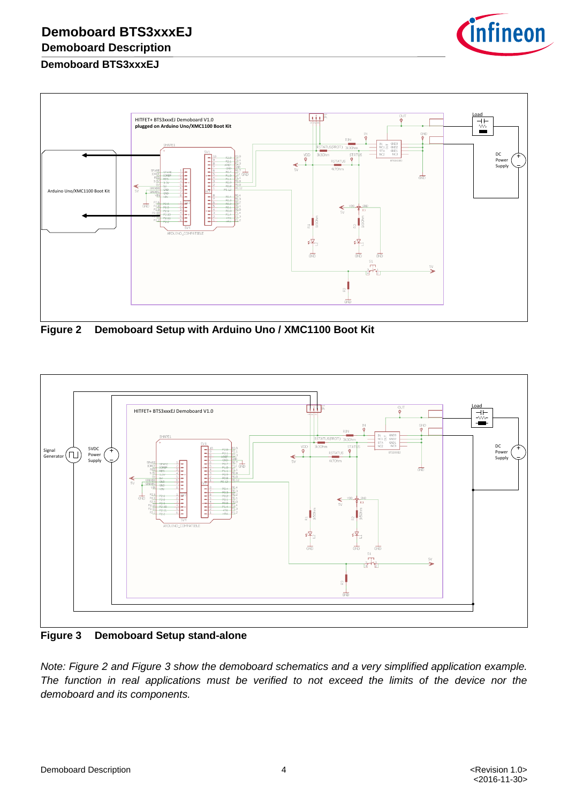

## **Demoboard BTS3xxxEJ**



<span id="page-3-0"></span>**Figure 2 Demoboard Setup with Arduino Uno / XMC1100 Boot Kit**



<span id="page-3-1"></span>**Figure 3 Demoboard Setup stand-alone**

*Note: Figure 2 and Figure 3 show the demoboard schematics and a very simplified application example. The function in real applications must be verified to not exceed the limits of the device nor the demoboard and its components.*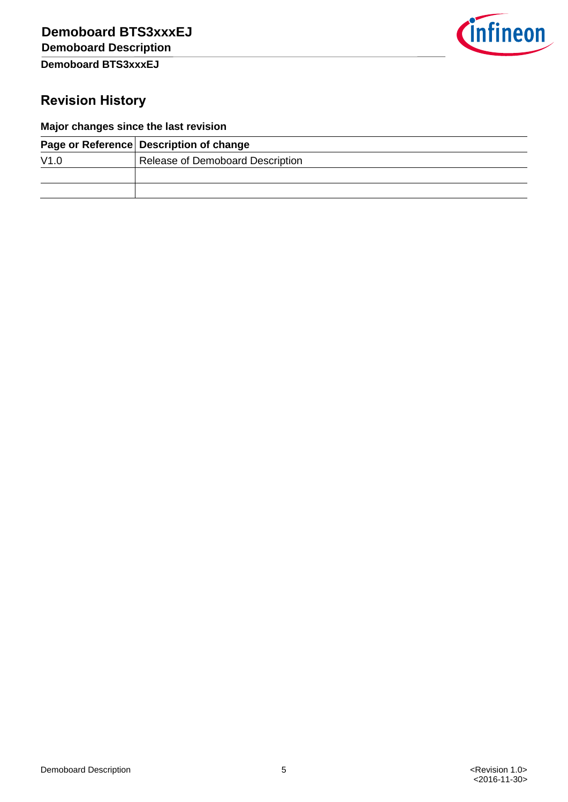

# **Revision History**

## **Major changes since the last revision**

|      | Page or Reference Description of change |  |
|------|-----------------------------------------|--|
| V1.0 | Release of Demoboard Description        |  |
|      |                                         |  |
|      |                                         |  |